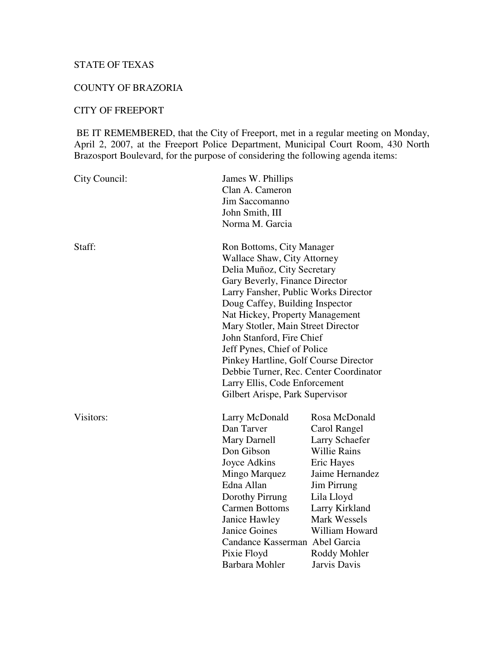# STATE OF TEXAS

## COUNTY OF BRAZORIA

## CITY OF FREEPORT

BE IT REMEMBERED, that the City of Freeport, met in a regular meeting on Monday, April 2, 2007, at the Freeport Police Department, Municipal Court Room, 430 North Brazosport Boulevard, for the purpose of considering the following agenda items:

| City Council: | James W. Phillips<br>Clan A. Cameron<br><b>Jim Saccomanno</b><br>John Smith, III<br>Norma M. Garcia                                                                                                                                                                                                                                                                                                                                                                                                     |                                                                                                                                                                                                                                        |
|---------------|---------------------------------------------------------------------------------------------------------------------------------------------------------------------------------------------------------------------------------------------------------------------------------------------------------------------------------------------------------------------------------------------------------------------------------------------------------------------------------------------------------|----------------------------------------------------------------------------------------------------------------------------------------------------------------------------------------------------------------------------------------|
| Staff:        | Ron Bottoms, City Manager<br><b>Wallace Shaw, City Attorney</b><br>Delia Muñoz, City Secretary<br>Gary Beverly, Finance Director<br>Larry Fansher, Public Works Director<br>Doug Caffey, Building Inspector<br>Nat Hickey, Property Management<br>Mary Stotler, Main Street Director<br>John Stanford, Fire Chief<br>Jeff Pynes, Chief of Police<br>Pinkey Hartline, Golf Course Director<br>Debbie Turner, Rec. Center Coordinator<br>Larry Ellis, Code Enforcement<br>Gilbert Arispe, Park Supervisor |                                                                                                                                                                                                                                        |
| Visitors:     | Larry McDonald<br>Dan Tarver<br>Mary Darnell<br>Don Gibson<br>Joyce Adkins<br>Mingo Marquez<br>Edna Allan<br>Dorothy Pirrung<br><b>Carmen Bottoms</b><br>Janice Hawley<br><b>Janice Goines</b><br>Candance Kasserman Abel Garcia<br>Pixie Floyd<br>Barbara Mohler                                                                                                                                                                                                                                       | Rosa McDonald<br>Carol Rangel<br><b>Larry Schaefer</b><br><b>Willie Rains</b><br>Eric Hayes<br>Jaime Hernandez<br>Jim Pirrung<br>Lila Lloyd<br>Larry Kirkland<br><b>Mark Wessels</b><br>William Howard<br>Roddy Mohler<br>Jarvis Davis |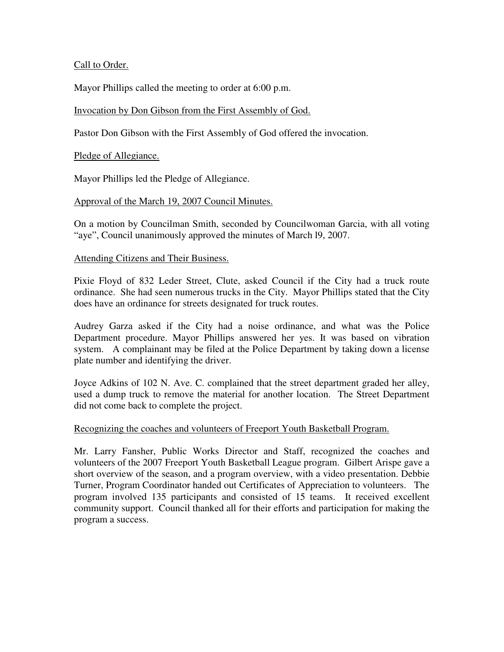### Call to Order.

Mayor Phillips called the meeting to order at 6:00 p.m.

## Invocation by Don Gibson from the First Assembly of God.

Pastor Don Gibson with the First Assembly of God offered the invocation.

## Pledge of Allegiance.

Mayor Phillips led the Pledge of Allegiance.

## Approval of the March 19, 2007 Council Minutes.

On a motion by Councilman Smith, seconded by Councilwoman Garcia, with all voting "aye", Council unanimously approved the minutes of March l9, 2007.

#### Attending Citizens and Their Business.

Pixie Floyd of 832 Leder Street, Clute, asked Council if the City had a truck route ordinance. She had seen numerous trucks in the City. Mayor Phillips stated that the City does have an ordinance for streets designated for truck routes.

Audrey Garza asked if the City had a noise ordinance, and what was the Police Department procedure. Mayor Phillips answered her yes. It was based on vibration system. A complainant may be filed at the Police Department by taking down a license plate number and identifying the driver.

Joyce Adkins of 102 N. Ave. C. complained that the street department graded her alley, used a dump truck to remove the material for another location. The Street Department did not come back to complete the project.

#### Recognizing the coaches and volunteers of Freeport Youth Basketball Program.

Mr. Larry Fansher, Public Works Director and Staff, recognized the coaches and volunteers of the 2007 Freeport Youth Basketball League program. Gilbert Arispe gave a short overview of the season, and a program overview, with a video presentation. Debbie Turner, Program Coordinator handed out Certificates of Appreciation to volunteers. The program involved 135 participants and consisted of 15 teams. It received excellent community support. Council thanked all for their efforts and participation for making the program a success.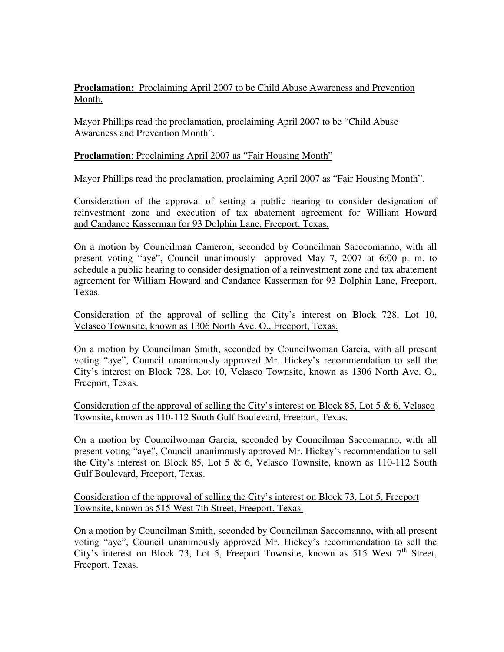# **Proclamation:** Proclaiming April 2007 to be Child Abuse Awareness and Prevention Month.

Mayor Phillips read the proclamation, proclaiming April 2007 to be "Child Abuse Awareness and Prevention Month".

# **Proclamation:** Proclaiming April 2007 as "Fair Housing Month"

Mayor Phillips read the proclamation, proclaiming April 2007 as "Fair Housing Month".

Consideration of the approval of setting a public hearing to consider designation of reinvestment zone and execution of tax abatement agreement for William Howard and Candance Kasserman for 93 Dolphin Lane, Freeport, Texas.

On a motion by Councilman Cameron, seconded by Councilman Sacccomanno, with all present voting "aye", Council unanimously approved May 7, 2007 at 6:00 p. m. to schedule a public hearing to consider designation of a reinvestment zone and tax abatement agreement for William Howard and Candance Kasserman for 93 Dolphin Lane, Freeport, Texas.

Consideration of the approval of selling the City's interest on Block 728, Lot 10, Velasco Townsite, known as 1306 North Ave. O., Freeport, Texas.

On a motion by Councilman Smith, seconded by Councilwoman Garcia, with all present voting "aye", Council unanimously approved Mr. Hickey's recommendation to sell the City's interest on Block 728, Lot 10, Velasco Townsite, known as 1306 North Ave. O., Freeport, Texas.

Consideration of the approval of selling the City's interest on Block 85, Lot 5  $\&$  6, Velasco Townsite, known as 110-112 South Gulf Boulevard, Freeport, Texas.

On a motion by Councilwoman Garcia, seconded by Councilman Saccomanno, with all present voting "aye", Council unanimously approved Mr. Hickey's recommendation to sell the City's interest on Block 85, Lot 5  $\&$  6, Velasco Townsite, known as 110-112 South Gulf Boulevard, Freeport, Texas.

Consideration of the approval of selling the City's interest on Block 73, Lot 5, Freeport Townsite, known as 515 West 7th Street, Freeport, Texas.

On a motion by Councilman Smith, seconded by Councilman Saccomanno, with all present voting "aye", Council unanimously approved Mr. Hickey's recommendation to sell the City's interest on Block 73, Lot 5, Freeport Townsite, known as 515 West  $7<sup>th</sup>$  Street, Freeport, Texas.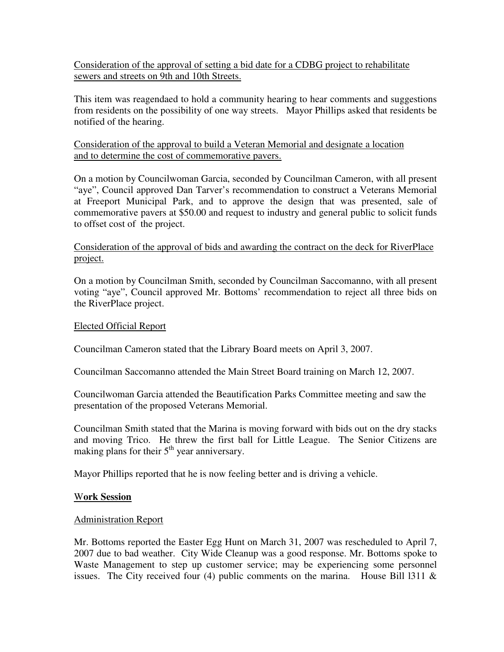Consideration of the approval of setting a bid date for a CDBG project to rehabilitate sewers and streets on 9th and 10th Streets.

This item was reagendaed to hold a community hearing to hear comments and suggestions from residents on the possibility of one way streets. Mayor Phillips asked that residents be notified of the hearing.

# Consideration of the approval to build a Veteran Memorial and designate a location and to determine the cost of commemorative pavers.

On a motion by Councilwoman Garcia, seconded by Councilman Cameron, with all present "aye", Council approved Dan Tarver's recommendation to construct a Veterans Memorial at Freeport Municipal Park, and to approve the design that was presented, sale of commemorative pavers at \$50.00 and request to industry and general public to solicit funds to offset cost of the project.

### Consideration of the approval of bids and awarding the contract on the deck for RiverPlace project.

On a motion by Councilman Smith, seconded by Councilman Saccomanno, with all present voting "aye", Council approved Mr. Bottoms' recommendation to reject all three bids on the RiverPlace project.

### Elected Official Report

Councilman Cameron stated that the Library Board meets on April 3, 2007.

Councilman Saccomanno attended the Main Street Board training on March 12, 2007.

Councilwoman Garcia attended the Beautification Parks Committee meeting and saw the presentation of the proposed Veterans Memorial.

Councilman Smith stated that the Marina is moving forward with bids out on the dry stacks and moving Trico. He threw the first ball for Little League. The Senior Citizens are making plans for their  $5<sup>th</sup>$  year anniversary.

Mayor Phillips reported that he is now feeling better and is driving a vehicle.

#### W**ork Session**

#### Administration Report

Mr. Bottoms reported the Easter Egg Hunt on March 31, 2007 was rescheduled to April 7, 2007 due to bad weather. City Wide Cleanup was a good response. Mr. Bottoms spoke to Waste Management to step up customer service; may be experiencing some personnel issues. The City received four (4) public comments on the marina. House Bill 1311  $\&$